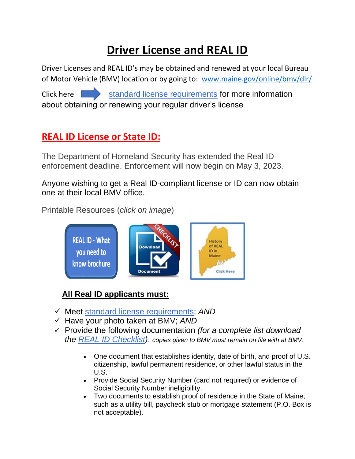# **Driver License and REAL ID**

Driver Licenses and REAL ID's may be obtained and renewed at your local Bureau of Motor Vehicle (BMV) location or by going to: [www.maine.gov/online/bmv/dlr/](http://www.maine.gov/online/bmv/dlr/) Click here [standard license requirements](http://maine.gov/sos/bmv/licenses/index.html) for more information about obtaining or renewing your regular driver's license

## **REAL ID License or State ID:**

The Department of Homeland Security has extended the Real ID enforcement deadline. Enforcement will now begin on May 3, 2023.

Anyone wishing to get a Real ID-compliant license or ID can now obtain one at their local BMV office.

Printable Resources (*click on image*)



## **All Real ID applicants must:**

- ✓ Meet [standard license requirements;](http://maine.gov/sos/bmv/licenses/index.html) *AND*
- ✓ Have your photo taken at BMV; *AND*
- ✓ Provide the following documentation *(for a complete list download the [REAL ID Checklist\)](https://www.maine.gov/sos/bmv/licenses/MVL-9Checklist%20Brochure.pdf)*, *copies given to BMV must remain on file with at BMV*:
	- One document that establishes identity, date of birth, and proof of U.S. citizenship, lawful permanent residence, or other lawful status in the U.S.
	- Provide Social Security Number (card not required) or evidence of Social Security Number ineligibility.
	- Two documents to establish proof of residence in the State of Maine, such as a utility bill, paycheck stub or mortgage statement (P.O. Box is not acceptable).